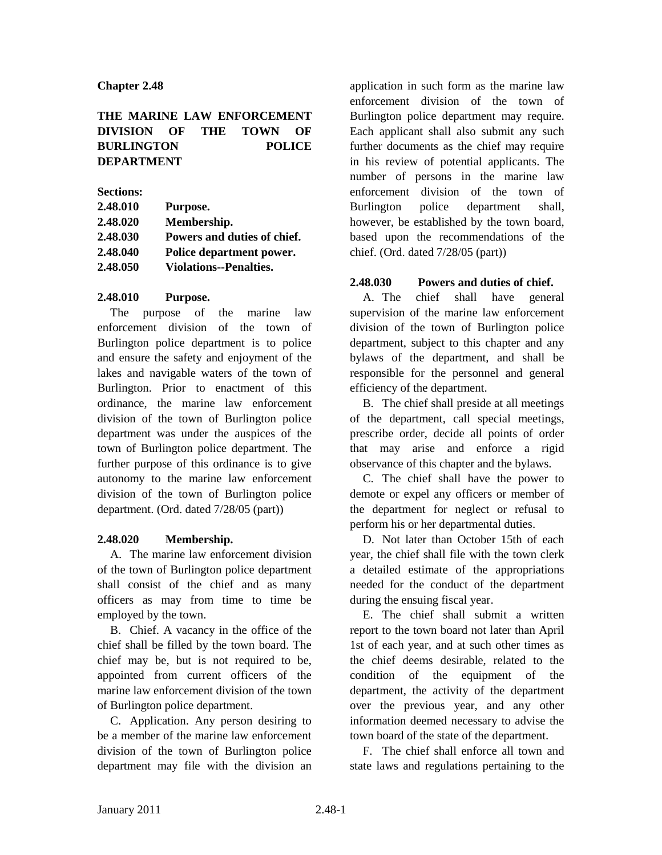# **THE MARINE LAW ENFORCEMENT DIVISION OF THE TOWN OF BURLINGTON POLICE DEPARTMENT**

**Sections:**

| 2.48.010 | Purpose.                      |
|----------|-------------------------------|
| 2.48.020 | Membership.                   |
| 2.48.030 | Powers and duties of chief.   |
| 2.48.040 | Police department power.      |
| 2.48.050 | <b>Violations--Penalties.</b> |

# **2.48.010 Purpose.**

The purpose of the marine law enforcement division of the town of Burlington police department is to police and ensure the safety and enjoyment of the lakes and navigable waters of the town of Burlington. Prior to enactment of this ordinance, the marine law enforcement division of the town of Burlington police department was under the auspices of the town of Burlington police department. The further purpose of this ordinance is to give autonomy to the marine law enforcement division of the town of Burlington police department. (Ord. dated 7/28/05 (part))

# **2.48.020 Membership.**

A. The marine law enforcement division of the town of Burlington police department shall consist of the chief and as many officers as may from time to time be employed by the town.

B. Chief. A vacancy in the office of the chief shall be filled by the town board. The chief may be, but is not required to be, appointed from current officers of the marine law enforcement division of the town of Burlington police department.

C. Application. Any person desiring to be a member of the marine law enforcement division of the town of Burlington police department may file with the division an

application in such form as the marine law enforcement division of the town of Burlington police department may require. Each applicant shall also submit any such further documents as the chief may require in his review of potential applicants. The number of persons in the marine law enforcement division of the town of Burlington police department shall, however, be established by the town board, based upon the recommendations of the chief. (Ord. dated 7/28/05 (part))

# **2.48.030 Powers and duties of chief.**

A. The chief shall have general supervision of the marine law enforcement division of the town of Burlington police department, subject to this chapter and any bylaws of the department, and shall be responsible for the personnel and general efficiency of the department.

B. The chief shall preside at all meetings of the department, call special meetings, prescribe order, decide all points of order that may arise and enforce a rigid observance of this chapter and the bylaws.

C. The chief shall have the power to demote or expel any officers or member of the department for neglect or refusal to perform his or her departmental duties.

D. Not later than October 15th of each year, the chief shall file with the town clerk a detailed estimate of the appropriations needed for the conduct of the department during the ensuing fiscal year.

E. The chief shall submit a written report to the town board not later than April 1st of each year, and at such other times as the chief deems desirable, related to the condition of the equipment of the department, the activity of the department over the previous year, and any other information deemed necessary to advise the town board of the state of the department.

F. The chief shall enforce all town and state laws and regulations pertaining to the